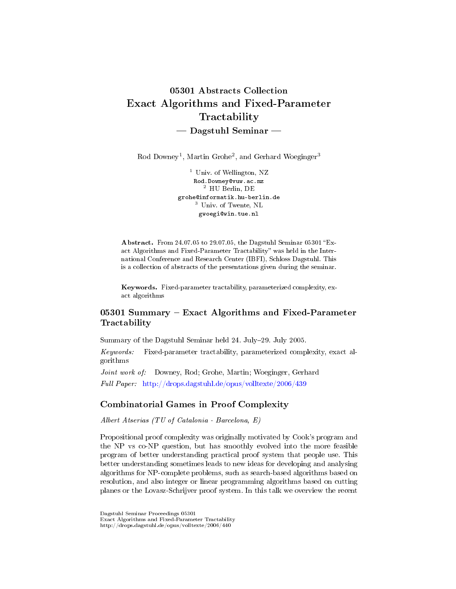# 05301 Abstracts Collection Exact Algorithms and Fixed-Parameter **Tractability**  $-$  Dagstuhl Seminar  $-$

Rod Downey<sup>1</sup>, Martin Grohe<sup>2</sup>, and Gerhard Woeginger<sup>3</sup>

<sup>1</sup> Univ. of Wellington, NZ Rod.Downey@vuw.ac.nz <sup>2</sup> HU Berlin, DE grohe@informatik.hu-berlin.de <sup>3</sup> Univ. of Twente, NL gwoegi@win.tue.nl

Abstract. From 24.07.05 to 29.07.05, the Dagstuhl Seminar 05301 "Exact Algorithms and Fixed-Parameter Tractability" was held in the International Conference and Research Center (IBFI), Schloss Dagstuhl. This is a collection of abstracts of the presentations given during the seminar.

Keywords. Fixed-parameter tractability, parameterized complexity, exact algorithms

# 05301 Summary - Exact Algorithms and Fixed-Parameter **Tractability**

Summary of the Dagstuhl Seminar held 24. July29. July 2005.

Keywords: Fixed-parameter tractability, parameterized complexity, exact algorithms

Joint work of: Downey, Rod; Grohe, Martin; Woeginger, Gerhard Full Paper: <http://drops.dagstuhl.de/opus/volltexte/2006/439>

### Combinatorial Games in Proof Complexity

Albert Atserias (TU of Catalonia - Barcelona, E)

Propositional proof complexity was originally motivated by Cook's program and the NP vs co-NP question, but has smoothly evolved into the more feasible program of better understanding practical proof system that people use. This better understanding sometimes leads to new ideas for developing and analysing algorithms for NP-complete problems, such as search-based algorithms based on resolution, and also integer or linear programming algorithms based on cutting planes or the Lovasz-Schrijver proof system. In this talk we overview the recent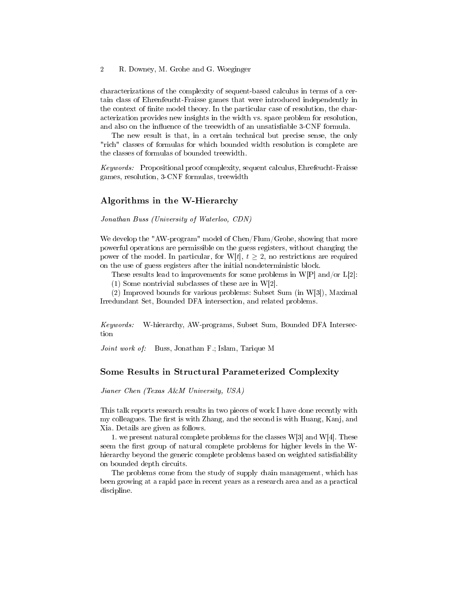#### 2 R. Downey, M. Grohe and G. Woeginger

characterizations of the complexity of sequent-based calculus in terms of a certain class of Ehrenfeucht-Fraisse games that were introduced independently in the context of finite model theory. In the particular case of resolution, the characterization provides new insights in the width vs. space problem for resolution, and also on the influence of the treewidth of an unsatisfiable 3-CNF formula.

The new result is that, in a certain technical but precise sense, the only "rich" classes of formulas for which bounded width resolution is complete are the classes of formulas of bounded treewidth.

Keywords: Propositional proof complexity, sequent calculus, Ehrefeucht-Fraisse games, resolution, 3-CNF formulas, treewidth

#### Algorithms in the W-Hierarchy

Jonathan Buss (University of Waterloo, CDN)

We develop the "AW-program" model of Chen/Flum/Grohe, showing that more powerful operations are permissible on the guess registers, without changing the power of the model. In particular, for W[t],  $t \geq 2$ , no restrictions are required on the use of guess registers after the initial nondeterministic block.

These results lead to improvements for some problems in W[P] and/or  $L[2]$ :

(1) Some nontrivial subclasses of these are in W[2].

(2) Improved bounds for various problems: Subset Sum (in W[3]), Maximal Irredundant Set, Bounded DFA intersection, and related problems.

Keywords: W-hierarchy, AW-programs, Subset Sum, Bounded DFA Intersection

Joint work of: Buss, Jonathan F.; Islam, Tarique M

#### Some Results in Structural Parameterized Complexity

Jianer Chen (Texas A&M University, USA)

This talk reports research results in two pieces of work I have done recently with my colleagues. The first is with Zhang, and the second is with Huang, Kanj, and Xia. Details are given as follows.

1. we present natural complete problems for the classes  $W[3]$  and  $W[4]$ . These seem the first group of natural complete problems for higher levels in the Whierarchy beyond the generic complete problems based on weighted satisfiability on bounded depth circuits.

The problems come from the study of supply chain management, which has been growing at a rapid pace in recent years as a research area and as a practical discipline.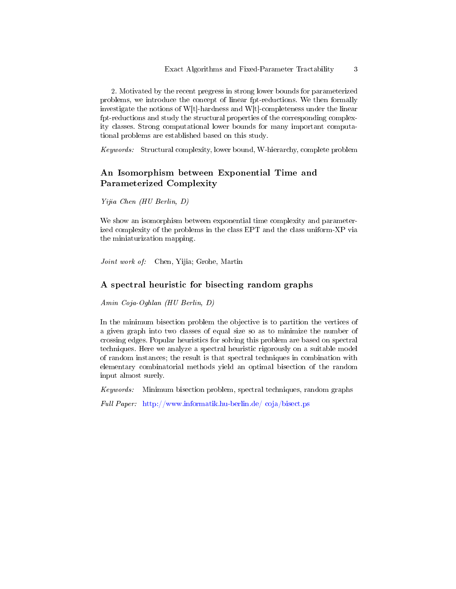2. Motivated by the recent pregress in strong lower bounds for parameterized problems, we introduce the concept of linear fpt-reductions. We then formally investigate the notions of W[t]-hardness and W[t]-completeness under the linear fpt-reductions and study the structural properties of the corresponding complexity classes. Strong computational lower bounds for many important computational problems are established based on this study.

Keywords: Structural complexity, lower bound, W-hierarchy, complete problem

# An Isomorphism between Exponential Time and Parameterized Complexity

Yijia Chen (HU Berlin, D)

We show an isomorphism between exponential time complexity and parameterized complexity of the problems in the class EPT and the class uniform-XP via the miniaturization mapping.

Joint work of: Chen, Yijia; Grohe, Martin

### A spectral heuristic for bisecting random graphs

Amin Coja-Oghlan (HU Berlin, D)

In the minimum bisection problem the objective is to partition the vertices of a given graph into two classes of equal size so as to minimize the number of crossing edges. Popular heuristics for solving this problem are based on spectral techniques. Here we analyze a spectral heuristic rigorously on a suitable model of random instances; the result is that spectral techniques in combination with elementary combinatorial methods yield an optimal bisection of the random input almost surely.

Keywords: Minimum bisection problem, spectral techniques, random graphs

Full Paper: [http://www.informatik.hu-berlin.de/ coja/bisect.ps](http://www.informatik.hu-berlin.de/~coja/bisect.ps)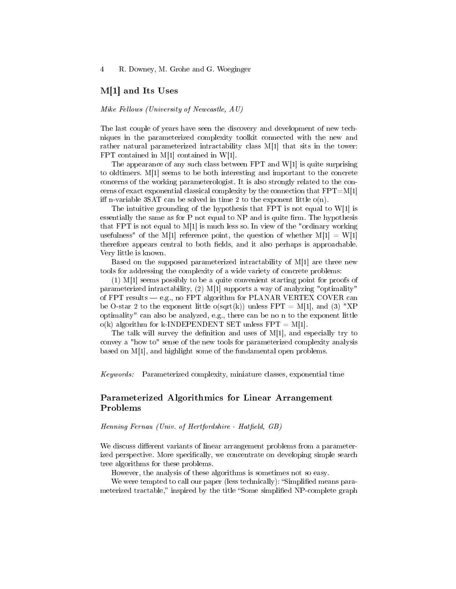4 R. Downey, M. Grohe and G. Woeginger

#### M[1] and Its Uses

Mike Fellows (University of Newcastle, AU)

The last couple of years have seen the discovery and development of new techniques in the parameterized complexity toolkit connected with the new and rather natural parameterized intractability class M[1] that sits in the tower: FPT contained in M[1] contained in W[1].

The appearance of any such class between FPT and  $W[1]$  is quite surprising to oldtimers. M[1] seems to be both interesting and important to the concrete concerns of the working parameterologist. It is also strongly related to the concerns of exact exponential classical complexity by the connection that  $FPT=M[1]$ iff n-variable 3SAT can be solved in time 2 to the exponent little  $o(n)$ .

The intuitive grounding of the hypothesis that FPT is not equal to W[1] is essentially the same as for  $P$  not equal to  $NP$  and is quite firm. The hypothesis that FPT is not equal to M[1] is much less so. In view of the "ordinary working usefulness" of the M[1] reference point, the question of whether  $M[1] = W[1]$ therefore appears central to both fields, and it also perhaps is approachable. Very little is known.

Based on the supposed parameterized intractability of M[1] are three new tools for addressing the complexity of a wide variety of concrete problems:

(1) M[1] seems possibly to be a quite convenient starting point for proofs of parameterized intractability, (2) M[1] supports a way of analyzing "optimality" of FPT results  $-e.g.,$  no FPT algorithm for PLANAR VERTEX COVER can be O-star 2 to the exponent little o(sqrt(k)) unless  $FPT = M[1]$ , and (3) "XP optimality" can also be analyzed, e.g., there can be no n to the exponent little  $o(k)$  algorithm for k-INDEPENDENT SET unless FPT = M[1].

The talk will survey the definition and uses of  $M[1]$ , and especially try to convey a "how to" sense of the new tools for parameterized complexity analysis based on M[1], and highlight some of the fundamental open problems.

Keywords: Parameterized complexity, miniature classes, exponential time

### Parameterized Algorithmics for Linear Arrangement Problems

 $Henning Fernau (Univ. of Hertfordshire - Hatfield, GB)$ 

We discuss different variants of linear arrangement problems from a parameterized perspective. More specifically, we concentrate on developing simple search tree algorithms for these problems.

However, the analysis of these algorithms is sometimes not so easy.

We were tempted to call our paper (less technically): "Simplified means parameterized tractable," inspired by the title "Some simplified NP-complete graph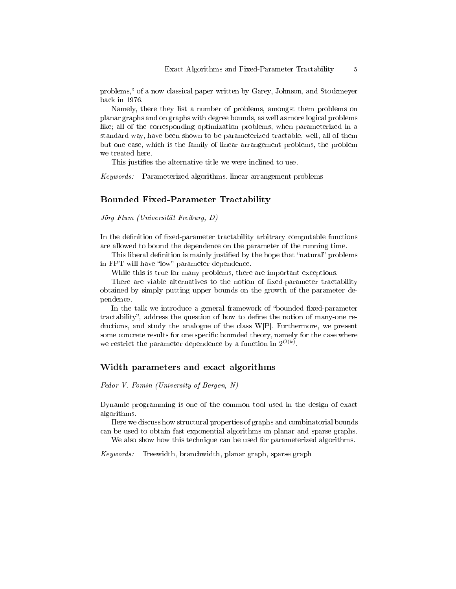problems," of a now classical paper written by Garey, Johnson, and Stockmeyer back in 1976.

Namely, there they list a number of problems, amongst them problems on planar graphs and on graphs with degree bounds, as well as more logical problems like; all of the corresponding optimization problems, when parameterized in a standard way, have been shown to be parameterized tractable, well, all of them but one case, which is the family of linear arrangement problems, the problem we treated here.

This justifies the alternative title we were inclined to use.

Keywords: Parameterized algorithms, linear arrangement problems

#### Bounded Fixed-Parameter Tractability

Jörg Flum (Universität Freiburg, D)

In the definition of fixed-parameter tractability arbitrary computable functions are allowed to bound the dependence on the parameter of the running time.

This liberal definition is mainly justified by the hope that "natural" problems in FPT will have "low" parameter dependence.

While this is true for many problems, there are important exceptions.

There are viable alternatives to the notion of fixed-parameter tractability obtained by simply putting upper bounds on the growth of the parameter dependence.

In the talk we introduce a general framework of "bounded fixed-parameter tractability", address the question of how to define the notion of many-one reductions, and study the analogue of the class W[P]. Furthermore, we present some concrete results for one specific bounded theory, namely for the case where we restrict the parameter dependence by a function in  $2^{O(k)}$ .

#### Width parameters and exact algorithms

Fedor V. Fomin (University of Bergen, N)

Dynamic programming is one of the common tool used in the design of exact algorithms.

Here we discuss how structural properties of graphs and combinatorial bounds can be used to obtain fast exponential algorithms on planar and sparse graphs.

We also show how this technique can be used for parameterized algorithms.

Keywords: Treewidth, branchwidth, planar graph, sparse graph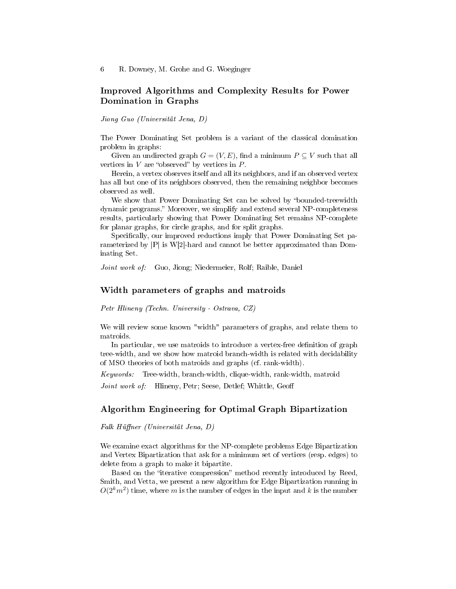### Improved Algorithms and Complexity Results for Power Domination in Graphs

Jiong Guo (Universität Jena, D)

The Power Dominating Set problem is a variant of the classical domination problem in graphs:

Given an undirected graph  $G = (V, E)$ , find a minimum  $P \subseteq V$  such that all vertices in  $V$  are "observed" by vertices in  $P$ .

Herein, a vertex observes itself and all its neighbors, and if an observed vertex has all but one of its neighbors observed, then the remaining neighbor becomes observed as well.

We show that Power Dominating Set can be solved by "bounded-treewidth dynamic programs." Moreover, we simplify and extend several NP-completeness results, particularly showing that Power Dominating Set remains NP-complete for planar graphs, for circle graphs, and for split graphs.

Specifically, our improved reductions imply that Power Dominating Set parameterized by  $|P|$  is W[2]-hard and cannot be better approximated than Dominating Set.

Joint work of: Guo, Jiong; Niedermeier, Rolf; Raible, Daniel

#### Width parameters of graphs and matroids

Petr Hlineny (Techn. University - Ostrava, CZ)

We will review some known "width" parameters of graphs, and relate them to matroids.

In particular, we use matroids to introduce a vertex-free definition of graph tree-width, and we show how matroid branch-width is related with decidability of MSO theories of both matroids and graphs (cf. rank-width).

Keywords: Tree-width, branch-width, clique-width, rank-width, matroid

Joint work of: Hlineny, Petr; Seese, Detlef; Whittle, Geoff

#### Algorithm Engineering for Optimal Graph Bipartization

Falk Hüffner (Universität Jena, D)

We examine exact algorithms for the NP-complete problems Edge Bipartization and Vertex Bipartization that ask for a minimum set of vertices (resp. edges) to delete from a graph to make it bipartite.

Based on the "iterative compression" method recently introduced by Reed, Smith, and Vetta, we present a new algorithm for Edge Bipartization running in  $O(2<sup>k</sup>m<sup>2</sup>)$  time, where m is the number of edges in the input and k is the number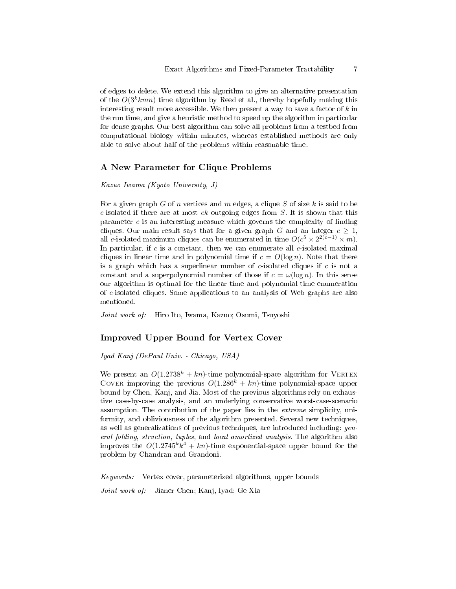of edges to delete. We extend this algorithm to give an alternative presentation of the  $O(3^k kmn)$  time algorithm by Reed et al., thereby hopefully making this interesting result more accessible. We then present a way to save a factor of  $k$  in the run time, and give a heuristic method to speed up the algorithm in particular for dense graphs. Our best algorithm can solve all problems from a testbed from computational biology within minutes, whereas established methods are only able to solve about half of the problems within reasonable time.

### A New Parameter for Clique Problems

Kazuo Iwama (Kyoto University, J)

For a given graph G of n vertices and m edges, a clique S of size k is said to be  $c$ -isolated if there are at most  $ck$  outgoing edges from  $S$ . It is shown that this parameter  $c$  is an interesting measure which governs the complexity of finding cliques. Our main result says that for a given graph G and an integer  $c \geq 1$ , all c-isolated maximum cliques can be enumerated in time  $O(c^5 \times 2^{2(c-1)} \times m)$ . In particular, if  $c$  is a constant, then we can enumerate all  $c$ -isolated maximal cliques in linear time and in polynomial time if  $c = O(\log n)$ . Note that there is a graph which has a superlinear number of  $c$ -isolated cliques if  $c$  is not a constant and a superpolynomial number of those if  $c = \omega(\log n)$ . In this sense our algorithm is optimal for the linear-time and polynomial-time enumeration of c-isolated cliques. Some applications to an analysis of Web graphs are also mentioned.

Joint work of: Hiro Ito, Iwama, Kazuo; Osumi, Tsuyoshi

#### Improved Upper Bound for Vertex Cover

Iyad Kanj (DePaul Univ. - Chicago, USA)

We present an  $O(1.2738^k + kn)$ -time polynomial-space algorithm for VERTEX COVER improving the previous  $O(1.286^k + kn)$ -time polynomial-space upper bound by Chen, Kanj, and Jia. Most of the previous algorithms rely on exhaustive case-by-case analysis, and an underlying conservative worst-case-scenario assumption. The contribution of the paper lies in the extreme simplicity, uniformity, and obliviousness of the algorithm presented. Several new techniques, as well as generalizations of previous techniques, are introduced including: general folding, struction, tuples, and local amortized analysis. The algorithm also improves the  $O(1.2745^k k^4 + kn)$ -time exponential-space upper bound for the problem by Chandran and Grandoni.

Keywords: Vertex cover, parameterized algorithms, upper bounds

Joint work of: Jianer Chen; Kanj, Iyad; Ge Xia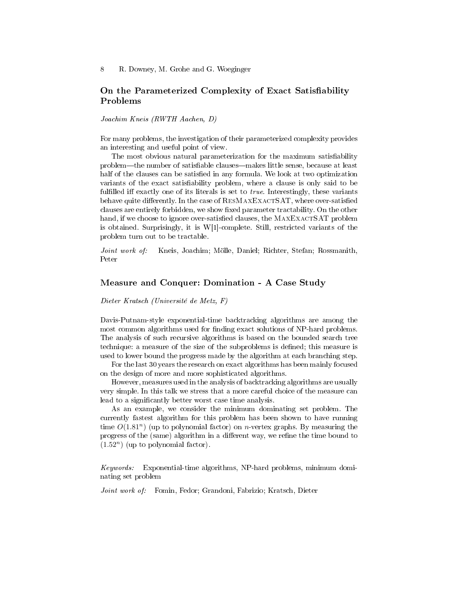### On the Parameterized Complexity of Exact Satisfiability Problems

Joachim Kneis (RWTH Aachen, D)

For many problems, the investigation of their parameterized complexity provides an interesting and useful point of view.

The most obvious natural parameterization for the maximum satisfiability problem—the number of satisfiable clauses—makes little sense, because at least half of the clauses can be satisfied in any formula. We look at two optimization variants of the exact satisfiability problem, where a clause is only said to be fulfilled iff exactly one of its literals is set to  $true$ . Interestingly, these variants behave quite differently. In the case of RESMAXEXACTSAT, where over-satisfied clauses are entirely forbidden, we show fixed parameter tractability. On the other hand, if we choose to ignore over-satisfied clauses, the MAXEXACTSAT problem is obtained. Surprisingly, it is W[1]-complete. Still, restricted variants of the problem turn out to be tractable.

Joint work of: Kneis, Joachim; Mölle, Daniel; Richter, Stefan; Rossmanith, Peter

#### Measure and Conquer: Domination - A Case Study

Dieter Kratsch (Université de Metz, F)

Davis-Putnam-style exponential-time backtracking algorithms are among the most common algorithms used for finding exact solutions of NP-hard problems. The analysis of such recursive algorithms is based on the bounded search tree technique: a measure of the size of the subproblems is defined; this measure is used to lower bound the progress made by the algorithm at each branching step.

For the last 30 years the research on exact algorithms has been mainly focused on the design of more and more sophisticated algorithms.

However, measures used in the analysis of backtracking algorithms are usually very simple. In this talk we stress that a more careful choice of the measure can lead to a significantly better worst case time analysis.

As an example, we consider the minimum dominating set problem. The currently fastest algorithm for this problem has been shown to have running time  $O(1.81<sup>n</sup>)$  (up to polynomial factor) on *n*-vertex graphs. By measuring the progress of the (same) algorithm in a different way, we refine the time bound to  $(1.52<sup>n</sup>)$  (up to polynomial factor).

Keywords: Exponential-time algorithms, NP-hard problems, minimum dominating set problem

Joint work of: Fomin, Fedor; Grandoni, Fabrizio; Kratsch, Dieter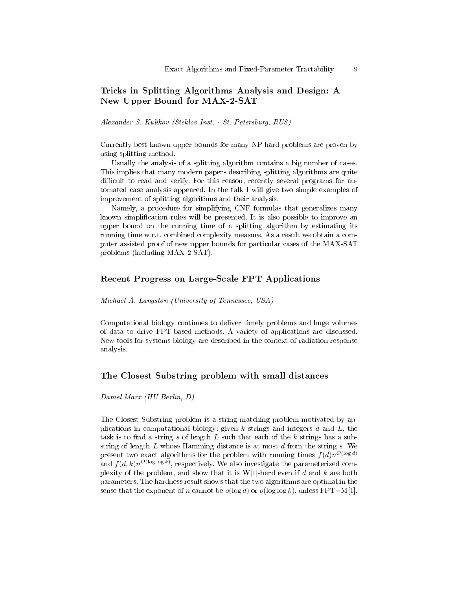### Tricks in Splitting Algorithms Analysis and Design: A New Upper Bound for MAX-2-SAT

Alexander S. Kulikov (Steklov Inst. - St. Petersburg, RUS)

Currently best known upper bounds for many NP-hard problems are proven by using splitting method.

Usually the analysis of a splitting algorithm contains a big number of cases. This implies that many modern papers describing splitting algorithms are quite difficult to read and verify. For this reason, recently several programs for automated case analysis appeared. In the talk I will give two simple examples of improvement of splitting algorithms and their analysis.

Namely, a procedure for simplifying CNF formulas that generalizes many known simplication rules will be presented. It is also possible to improve an upper bound on the running time of a splitting algorithm by estimating its running time w.r.t. combined complexity measure. As a result we obtain a computer assisted proof of new upper bounds for particular cases of the MAX-SAT problems (including MAX-2-SAT).

#### Recent Progress on Large-Scale FPT Applications

Michael A. Langston (University of Tennessee, USA)

Computational biology continues to deliver timely problems and huge volumes of data to drive FPT-based methods. A variety of applications are discussed. New tools for systems biology are described in the context of radiation response analysis.

#### The Closest Substring problem with small distances

Daniel Marx (HU Berlin, D)

The Closest Substring problem is a string matching problem motivated by applications in computational biology: given  $k$  strings and integers  $d$  and  $L$ , the task is to find a string s of length  $L$  such that each of the  $k$  strings has a substring of length  $L$  whose Hamming distance is at most  $d$  from the string  $s$ . We present two exact algorithms for the problem with running times  $f(d)n^{O(\log d)}$ and  $f(d, k)n^{O(\log \log k)}$ , respectively. We also investigate the parameterized complexity of the problem, and show that it is  $W[1]$ -hard even if d and k are both parameters. The hardness result shows that the two algorithms are optimal in the sense that the exponent of n cannot be  $o(\log d)$  or  $o(\log \log k)$ , unless  $\text{FPT}=\text{M}[1].$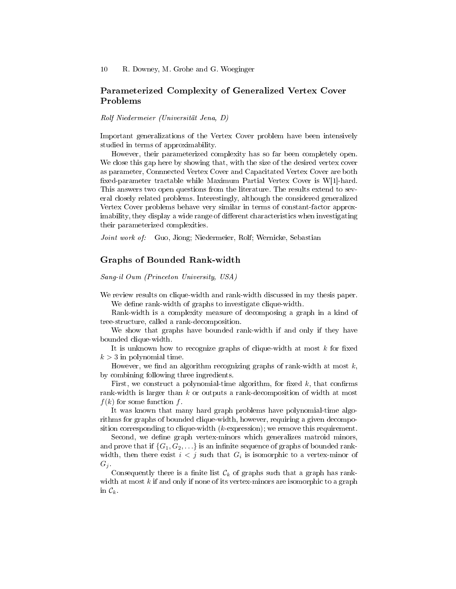### Parameterized Complexity of Generalized Vertex Cover Problems

Rolf Niedermeier (Universität Jena, D)

Important generalizations of the Vertex Cover problem have been intensively studied in terms of approximability.

However, their parameterized complexity has so far been completely open. We close this gap here by showing that, with the size of the desired vertex cover as parameter, Connnected Vertex Cover and Capacitated Vertex Cover are both xed-parameter tractable while Maximum Partial Vertex Cover is W[1]-hard. This answers two open questions from the literature. The results extend to several closely related problems. Interestingly, although the considered generalized Vertex Cover problems behave very similar in terms of constant-factor approximability, they display a wide range of different characteristics when investigating their parameterized complexities.

Joint work of: Guo, Jiong; Niedermeier, Rolf; Wernicke, Sebastian

#### Graphs of Bounded Rank-width

Sang-il Oum (Princeton University, USA)

We review results on clique-width and rank-width discussed in my thesis paper. We define rank-width of graphs to investigate clique-width.

Rank-width is a complexity measure of decomposing a graph in a kind of tree-structure, called a rank-decomposition.

We show that graphs have bounded rank-width if and only if they have bounded clique-width.

It is unknown how to recognize graphs of clique-width at most  $k$  for fixed  $k > 3$  in polynomial time.

However, we find an algorithm recognizing graphs of rank-width at most  $k$ , by combining following three ingredients.

First, we construct a polynomial-time algorithm, for fixed  $k$ , that confirms rank-width is larger than  $k$  or outputs a rank-decomposition of width at most  $f(k)$  for some function f.

It was known that many hard graph problems have polynomial-time algorithms for graphs of bounded clique-width, however, requiring a given decomposition corresponding to clique-width  $(k$ -expression); we remove this requirement.

Second, we define graph vertex-minors which generalizes matroid minors, and prove that if  $\{G_1, G_2, \ldots\}$  is an infinite sequence of graphs of bounded rankwidth, then there exist  $i < j$  such that  $G_i$  is isomorphic to a vertex-minor of  $G_i$ .

Consequently there is a finite list  $\mathcal{C}_k$  of graphs such that a graph has rankwidth at most  $k$  if and only if none of its vertex-minors are isomorphic to a graph in  $\mathcal{C}_k$ .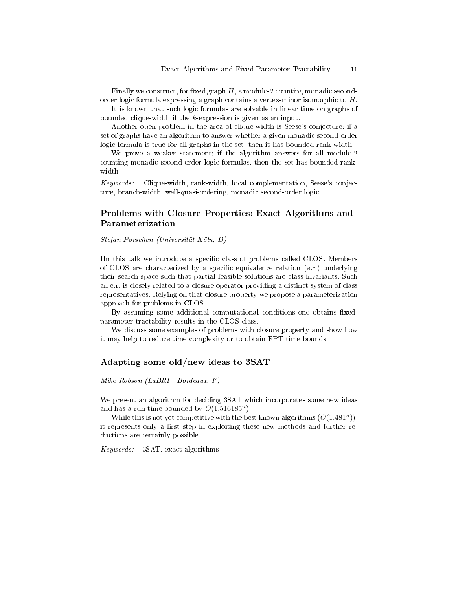Finally we construct, for fixed graph  $H$ , a modulo-2 counting monadic secondorder logic formula expressing a graph contains a vertex-minor isomorphic to H.

It is known that such logic formulas are solvable in linear time on graphs of bounded clique-width if the  $k$ -expression is given as an input.

Another open problem in the area of clique-width is Seese's conjecture; if a set of graphs have an algorithm to answer whether a given monadic second-order logic formula is true for all graphs in the set, then it has bounded rank-width.

We prove a weaker statement; if the algorithm answers for all modulo-2 counting monadic second-order logic formulas, then the set has bounded rankwidth.

Keywords: Clique-width, rank-width, local complementation, Seese's conjecture, branch-width, well-quasi-ordering, monadic second-order logic

### Problems with Closure Properties: Exact Algorithms and Parameterization

Stefan Porschen (Universität Köln, D)

IIn this talk we introduce a specific class of problems called CLOS. Members of CLOS are characterized by a specific equivalence relation (e.r.) underlying their search space such that partial feasible solutions are class invariants. Such an e.r. is closely related to a closure operator providing a distinct system of class representatives. Relying on that closure property we propose a parameterization approach for problems in CLOS.

By assuming some additional computational conditions one obtains fixedparameter tractability results in the CLOS class.

We discuss some examples of problems with closure property and show how it may help to reduce time complexity or to obtain FPT time bounds.

#### Adapting some old/new ideas to 3SAT

Mike Robson (LaBRI - Bordeaux, F)

We present an algorithm for deciding 3SAT which incorporates some new ideas and has a run time bounded by  $O(1.516185^n)$ .

While this is not yet competitive with the best known algorithms  $(O(1.481<sup>n</sup>)),$ it represents only a first step in exploiting these new methods and further reductions are certainly possible.

Keywords: 3SAT, exact algorithms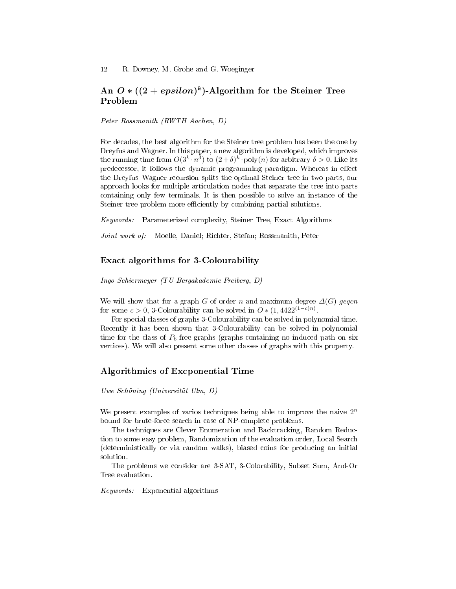### An  $O*(2+epsilon)$ -Algorithm for the Steiner Tree Problem

Peter Rossmanith (RWTH Aachen, D)

For decades, the best algorithm for the Steiner tree problem has been the one by Dreyfus and Wagner. In this paper, a new algorithm is developed, which improves the running time from  $O(3^k \cdot n^3)$  to  $(2 + \delta)^k \cdot \text{poly}(n)$  for arbitrary  $\delta > 0$ . Like its predecessor, it follows the dynamic programming paradigm. Whereas in effect the Dreyfus–Wagner recursion splits the optimal Steiner tree in two parts, our approach looks for multiple articulation nodes that separate the tree into parts containing only few terminals. It is then possible to solve an instance of the Steiner tree problem more efficiently by combining partial solutions.

Keywords: Parameterized complexity, Steiner Tree, Exact Algorithms

Joint work of: Moelle, Daniel; Richter, Stefan; Rossmanith, Peter

### Exact algorithms for 3-Colourability

Ingo Schiermeyer (TU Bergakademie Freiberg, D)

We will show that for a graph G of order n and maximum degree  $\Delta(G)$  geqcn for some  $c > 0$ , 3-Colourability can be solved in  $O*(1, 4422^{(1-c)n})$ .

For special classes of graphs 3-Colourability can be solved in polynomial time. Recently it has been shown that 3-Colourability can be solved in polynomial time for the class of  $P_6$ -free graphs (graphs containing no induced path on six vertices). We will also present some other classes of graphs with this property.

#### Algorithmics of Excponential Time

Uwe Schöning (Universität Ulm, D)

We present examples of varios techniques being able to improve the naive  $2<sup>n</sup>$ bound for brute-force search in case of NP-complete problems.

The techniques are Clever Enumeration and Backtracking, Random Reduction to some easy problem, Randomization of the evaluation order, Local Search (deterministically or via random walks), biased coins for producing an initial solution.

The problems we consider are 3-SAT, 3-Colorability, Subset Sum, And-Or Tree evaluation.

Keywords: Exponential algorithms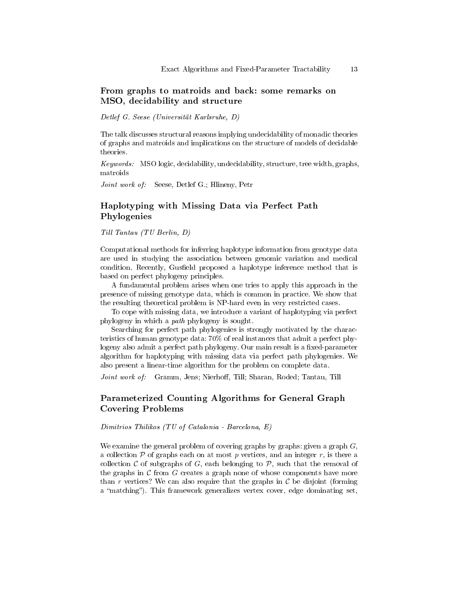### From graphs to matroids and back: some remarks on MSO, decidability and structure

Detlef G. Seese (Universität Karlsruhe, D)

The talk discusses structural reasons implying undecidability of monadic theories of graphs and matroids and implications on the structure of models of decidable theories.

Keywords: MSO logic, decidability, undecidability, structure, tree width, graphs, matroids

Joint work of: Seese, Detlef G.; Hlineny, Petr

### Haplotyping with Missing Data via Perfect Path Phylogenies

Till Tantau (TU Berlin, D)

Computational methods for inferring haplotype information from genotype data are used in studying the association between genomic variation and medical condition. Recently, Gusfield proposed a haplotype inference method that is based on perfect phylogeny principles.

A fundamental problem arises when one tries to apply this approach in the presence of missing genotype data, which is common in practice. We show that the resulting theoretical problem is NP-hard even in very restricted cases.

To cope with missing data, we introduce a variant of haplotyping via perfect phylogeny in which a path phylogeny is sought.

Searching for perfect path phylogenies is strongly motivated by the characteristics of human genotype data: 70% of real instances that admit a perfect phylogeny also admit a perfect path phylogeny. Our main result is a fixed-parameter algorithm for haplotyping with missing data via perfect path phylogenies. We also present a linear-time algorithm for the problem on complete data.

Joint work of: Gramm, Jens; Nierhoff, Till; Sharan, Roded; Tantau, Till

### Parameterized Counting Algorithms for General Graph Covering Problems

Dimitrios Thilikos (TU of Catalonia - Barcelona, E)

We examine the general problem of covering graphs by graphs: given a graph  $G$ , a collection  $P$  of graphs each on at most p vertices, and an integer r, is there a collection  $\mathcal C$  of subgraphs of  $G$ , each belonging to  $\mathcal P$ , such that the removal of the graphs in  $\mathcal C$  from  $G$  creates a graph none of whose components have more than r vertices? We can also require that the graphs in  $\mathcal C$  be disjoint (forming a "matching"). This framework generalizes vertex cover, edge dominating set,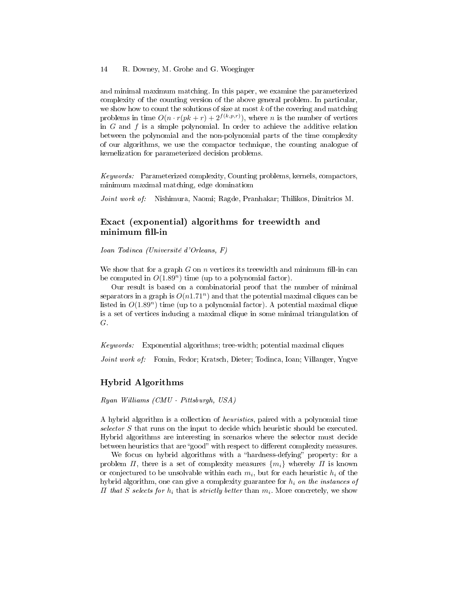#### 14 R. Downey, M. Grohe and G. Woeginger

and minimal maximum matching. In this paper, we examine the parameterized complexity of the counting version of the above general problem. In particular, we show how to count the solutions of size at most  $k$  of the covering and matching problems in time  $O(n \cdot r(pk + r) + 2^{f(k,p,r)})$ , where *n* is the number of vertices in  $G$  and  $f$  is a simple polynomial. In order to achieve the additive relation between the polynomial and the non-polynomial parts of the time complexity of our algorithms, we use the compactor technique, the counting analogue of kernelization for parameterized decision problems.

Keywords: Parameterized complexity, Counting problems, kernels, compactors, minimum maximal matching, edge dominatiom

Joint work of: Nishimura, Naomi; Ragde, Pranhakar; Thilikos, Dimitrios M.

### Exact (exponential) algorithms for treewidth and minimum fill-in

Ioan Todinca (Université d'Orleans, F)

We show that for a graph  $G$  on  $n$  vertices its treewidth and minimum fill-in can be computed in  $O(1.89<sup>n</sup>)$  time (up to a polynomial factor).

Our result is based on a combinatorial proof that the number of minimal separators in a graph is  $O(n1.71^n)$  and that the potential maximal cliques can be listed in  $O(1.89<sup>n</sup>)$  time (up to a polynomial factor). A potential maximal clique is a set of vertices inducing a maximal clique in some minimal triangulation of G.

Keywords: Exponential algorithms; tree-width; potential maximal cliques

Joint work of: Fomin, Fedor; Kratsch, Dieter; Todinca, Ioan; Villanger, Yngve

#### Hybrid Algorithms

Ryan Williams (CMU - Pittsburgh, USA)

A hybrid algorithm is a collection of heuristics, paired with a polynomial time selector S that runs on the input to decide which heuristic should be executed. Hybrid algorithms are interesting in scenarios where the selector must decide between heuristics that are "good" with respect to different complexity measures.

We focus on hybrid algorithms with a "hardness-defying" property: for a problem  $\Pi$ , there is a set of complexity measures  $\{m_i\}$  whereby  $\Pi$  is known or conjectured to be unsolvable within each  $m_i,$  but for each heuristic  $h_i$  of the hybrid algorithm, one can give a complexity guarantee for  $h_i$  on the instances of  $\Pi$  that S selects for  $h_i$  that is strictly better than  $m_i$ . More concretely, we show